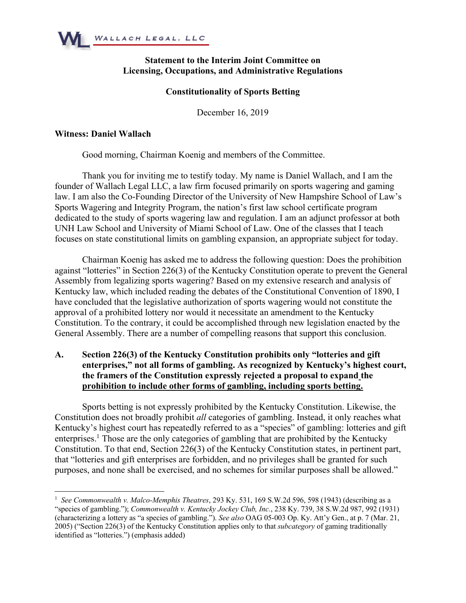

# **Statement to the Interim Joint Committee on Licensing, Occupations, and Administrative Regulations**

### **Constitutionality of Sports Betting**

December 16, 2019

#### **Witness: Daniel Wallach**

Good morning, Chairman Koenig and members of the Committee.

Thank you for inviting me to testify today. My name is Daniel Wallach, and I am the founder of Wallach Legal LLC, a law firm focused primarily on sports wagering and gaming law. I am also the Co-Founding Director of the University of New Hampshire School of Law's Sports Wagering and Integrity Program, the nation's first law school certificate program dedicated to the study of sports wagering law and regulation. I am an adjunct professor at both UNH Law School and University of Miami School of Law. One of the classes that I teach focuses on state constitutional limits on gambling expansion, an appropriate subject for today.

Chairman Koenig has asked me to address the following question: Does the prohibition against "lotteries" in Section 226(3) of the Kentucky Constitution operate to prevent the General Assembly from legalizing sports wagering? Based on my extensive research and analysis of Kentucky law, which included reading the debates of the Constitutional Convention of 1890, I have concluded that the legislative authorization of sports wagering would not constitute the approval of a prohibited lottery nor would it necessitate an amendment to the Kentucky Constitution. To the contrary, it could be accomplished through new legislation enacted by the General Assembly. There are a number of compelling reasons that support this conclusion.

# **A. Section 226(3) of the Kentucky Constitution prohibits only "lotteries and gift enterprises," not all forms of gambling. As recognized by Kentucky's highest court, the framers of the Constitution expressly rejected a proposal to expand the prohibition to include other forms of gambling, including sports betting.**

Sports betting is not expressly prohibited by the Kentucky Constitution. Likewise, the Constitution does not broadly prohibit *all* categories of gambling. Instead, it only reaches what Kentucky's highest court has repeatedly referred to as a "species" of gambling: lotteries and gift enterprises.<sup>1</sup> Those are the only categories of gambling that are prohibited by the Kentucky Constitution. To that end, Section 226(3) of the Kentucky Constitution states, in pertinent part, that "lotteries and gift enterprises are forbidden, and no privileges shall be granted for such purposes, and none shall be exercised, and no schemes for similar purposes shall be allowed."

<sup>&</sup>lt;sup>1</sup> See Commonwealth v. Malco-Memphis Theatres, 293 Ky. 531, 169 S.W.2d 596, 598 (1943) (describing as a "species of gambling."); *Commonwealth v. Kentucky Jockey Club, Inc.*, 238 Ky. 739, 38 S.W.2d 987, 992 (1931) (characterizing a lottery as "a species of gambling."). *See also* OAG 05-003 Op. Ky. Att'y Gen., at p. 7 (Mar. 21, 2005) ("Section 226(3) of the Kentucky Constitution applies only to that *subcategory* of gaming traditionally identified as "lotteries.") (emphasis added)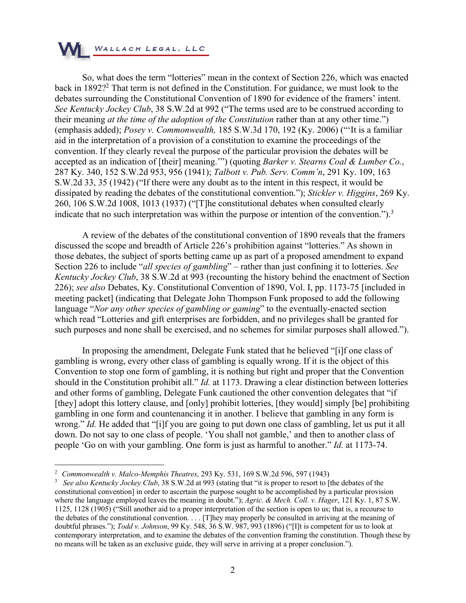

So, what does the term "lotteries" mean in the context of Section 226, which was enacted back in 1892?<sup>2</sup> That term is not defined in the Constitution. For guidance, we must look to the debates surrounding the Constitutional Convention of 1890 for evidence of the framers' intent. *See Kentucky Jockey Club*, 38 S.W.2d at 992 ("The terms used are to be construed according to their meaning *at the time of the adoption of the Constitution* rather than at any other time.") (emphasis added); *Posey v. Commonwealth,* 185 S.W.3d 170, 192 (Ky. 2006) ("'It is a familiar aid in the interpretation of a provision of a constitution to examine the proceedings of the convention. If they clearly reveal the purpose of the particular provision the debates will be accepted as an indication of [their] meaning.'") (quoting *Barker v. Stearns Coal & Lumber Co.*, 287 Ky. 340, 152 S.W.2d 953, 956 (1941); *Talbott v. Pub. Serv. Comm'n*, 291 Ky. 109, 163 S.W.2d 33, 35 (1942) ("If there were any doubt as to the intent in this respect, it would be dissipated by reading the debates of the constitutional convention."); *Stickler v. Higgins*, 269 Ky. 260, 106 S.W.2d 1008, 1013 (1937) ("[T]he constitutional debates when consulted clearly indicate that no such interpretation was within the purpose or intention of the convention.").<sup>3</sup>

A review of the debates of the constitutional convention of 1890 reveals that the framers discussed the scope and breadth of Article 226's prohibition against "lotteries." As shown in those debates, the subject of sports betting came up as part of a proposed amendment to expand Section 226 to include "*all species of gambling*" – rather than just confining it to lotteries. *See Kentucky Jockey Club*, 38 S.W.2d at 993 (recounting the history behind the enactment of Section 226); *see also* Debates, Ky. Constitutional Convention of 1890, Vol. I, pp. 1173-75 [included in meeting packet] (indicating that Delegate John Thompson Funk proposed to add the following language "*Nor any other species of gambling or gaming*" to the eventually-enacted section which read "Lotteries and gift enterprises are forbidden, and no privileges shall be granted for such purposes and none shall be exercised, and no schemes for similar purposes shall allowed.").

In proposing the amendment, Delegate Funk stated that he believed "[i]f one class of gambling is wrong, every other class of gambling is equally wrong. If it is the object of this Convention to stop one form of gambling, it is nothing but right and proper that the Convention should in the Constitution prohibit all." *Id.* at 1173. Drawing a clear distinction between lotteries and other forms of gambling, Delegate Funk cautioned the other convention delegates that "if [they] adopt this lottery clause, and [only] prohibit lotteries, [they would] simply [be] prohibiting gambling in one form and countenancing it in another. I believe that gambling in any form is wrong." *Id.* He added that "[i]f you are going to put down one class of gambling, let us put it all down. Do not say to one class of people. 'You shall not gamble,' and then to another class of people 'Go on with your gambling. One form is just as harmful to another." *Id.* at 1173-74.

<sup>2</sup> *Commonwealth v. Malco-Memphis Theatres*, 293 Ky. 531, 169 S.W.2d 596, 597 (1943)

<sup>&</sup>lt;sup>3</sup> See also Kentucky Jockey Club, 38 S.W.2d at 993 (stating that "it is proper to resort to [the debates of the constitutional convention] in order to ascertain the purpose sought to be accomplished by a particular provision where the language employed leaves the meaning in doubt."); *Agric. & Mech. Coll. v. Hager*, 121 Ky. 1, 87 S.W. 1125, 1128 (1905) ("Still another aid to a proper interpretation of the section is open to us; that is, a recourse to the debates of the constitutional convention. . . . [T]hey may properly be consulted in arriving at the meaning of doubtful phrases."); *Todd v. Johnson*, 99 Ky. 548, 36 S.W. 987, 993 (1896) ("[I]t is competent for us to look at contemporary interpretation, and to examine the debates of the convention framing the constitution. Though these by no means will be taken as an exclusive guide, they will serve in arriving at a proper conclusion.").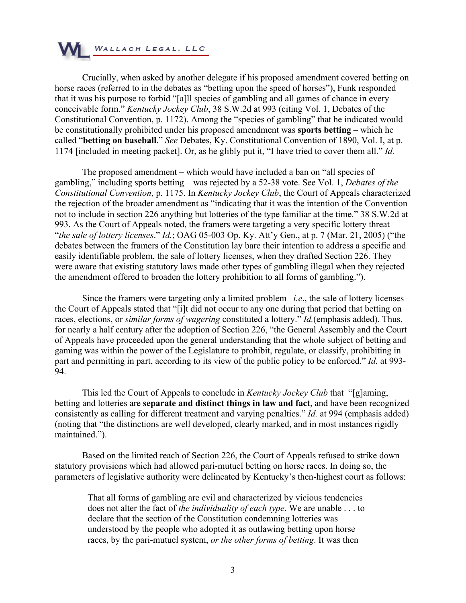

Crucially, when asked by another delegate if his proposed amendment covered betting on horse races (referred to in the debates as "betting upon the speed of horses"), Funk responded that it was his purpose to forbid "[a]ll species of gambling and all games of chance in every conceivable form." *Kentucky Jockey Club*, 38 S.W.2d at 993 (citing Vol. 1, Debates of the Constitutional Convention, p. 1172). Among the "species of gambling" that he indicated would be constitutionally prohibited under his proposed amendment was **sports betting** – which he called "**betting on baseball**." *See* Debates, Ky. Constitutional Convention of 1890, Vol. I, at p. 1174 [included in meeting packet]. Or, as he glibly put it, "I have tried to cover them all." *Id.*

The proposed amendment – which would have included a ban on "all species of gambling," including sports betting – was rejected by a 52-38 vote. See Vol. 1, *Debates of the Constitutional Convention*, p. 1175. In *Kentucky Jockey Club*, the Court of Appeals characterized the rejection of the broader amendment as "indicating that it was the intention of the Convention not to include in section 226 anything but lotteries of the type familiar at the time." 38 S.W.2d at 993. As the Court of Appeals noted, the framers were targeting a very specific lottery threat – "*the sale of lottery licenses*." *Id.*; OAG 05-003 Op. Ky. Att'y Gen., at p. 7 (Mar. 21, 2005) ("the debates between the framers of the Constitution lay bare their intention to address a specific and easily identifiable problem, the sale of lottery licenses, when they drafted Section 226. They were aware that existing statutory laws made other types of gambling illegal when they rejected the amendment offered to broaden the lottery prohibition to all forms of gambling.").

Since the framers were targeting only a limited problem– *i.e*., the sale of lottery licenses – the Court of Appeals stated that "[i]t did not occur to any one during that period that betting on races, elections, or *similar forms of wagering* constituted a lottery." *Id.*(emphasis added). Thus, for nearly a half century after the adoption of Section 226, "the General Assembly and the Court of Appeals have proceeded upon the general understanding that the whole subject of betting and gaming was within the power of the Legislature to prohibit, regulate, or classify, prohibiting in part and permitting in part, according to its view of the public policy to be enforced." *Id.* at 993- 94.

This led the Court of Appeals to conclude in *Kentucky Jockey Club* that "[g]aming, betting and lotteries are **separate and distinct things in law and fact**, and have been recognized consistently as calling for different treatment and varying penalties." *Id.* at 994 (emphasis added) (noting that "the distinctions are well developed, clearly marked, and in most instances rigidly maintained.").

Based on the limited reach of Section 226, the Court of Appeals refused to strike down statutory provisions which had allowed pari-mutuel betting on horse races. In doing so, the parameters of legislative authority were delineated by Kentucky's then-highest court as follows:

That all forms of gambling are evil and characterized by vicious tendencies does not alter the fact of *the individuality of each type*. We are unable . . . to declare that the section of the Constitution condemning lotteries was understood by the people who adopted it as outlawing betting upon horse races, by the pari-mutuel system, *or the other forms of betting*. It was then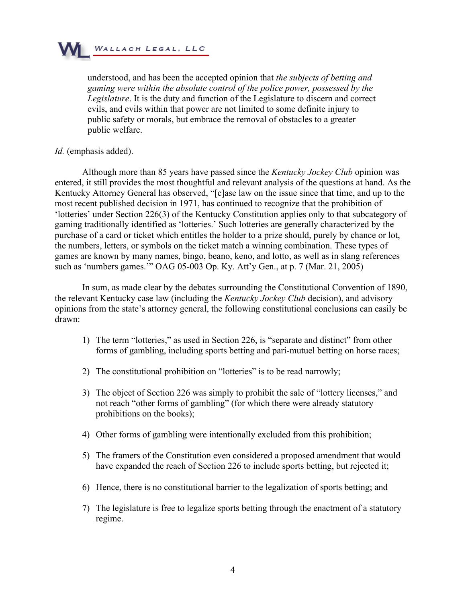

understood, and has been the accepted opinion that *the subjects of betting and gaming were within the absolute control of the police power, possessed by the Legislature*. It is the duty and function of the Legislature to discern and correct evils, and evils within that power are not limited to some definite injury to public safety or morals, but embrace the removal of obstacles to a greater public welfare.

#### *Id.* (emphasis added).

Although more than 85 years have passed since the *Kentucky Jockey Club* opinion was entered, it still provides the most thoughtful and relevant analysis of the questions at hand. As the Kentucky Attorney General has observed, "[c]ase law on the issue since that time, and up to the most recent published decision in 1971, has continued to recognize that the prohibition of 'lotteries' under Section 226(3) of the Kentucky Constitution applies only to that subcategory of gaming traditionally identified as 'lotteries.' Such lotteries are generally characterized by the purchase of a card or ticket which entitles the holder to a prize should, purely by chance or lot, the numbers, letters, or symbols on the ticket match a winning combination. These types of games are known by many names, bingo, beano, keno, and lotto, as well as in slang references such as 'numbers games.'" OAG 05-003 Op. Ky. Att'y Gen., at p. 7 (Mar. 21, 2005)

In sum, as made clear by the debates surrounding the Constitutional Convention of 1890, the relevant Kentucky case law (including the *Kentucky Jockey Club* decision), and advisory opinions from the state's attorney general, the following constitutional conclusions can easily be drawn:

- 1) The term "lotteries," as used in Section 226, is "separate and distinct" from other forms of gambling, including sports betting and pari-mutuel betting on horse races;
- 2) The constitutional prohibition on "lotteries" is to be read narrowly;
- 3) The object of Section 226 was simply to prohibit the sale of "lottery licenses," and not reach "other forms of gambling" (for which there were already statutory prohibitions on the books);
- 4) Other forms of gambling were intentionally excluded from this prohibition;
- 5) The framers of the Constitution even considered a proposed amendment that would have expanded the reach of Section 226 to include sports betting, but rejected it;
- 6) Hence, there is no constitutional barrier to the legalization of sports betting; and
- 7) The legislature is free to legalize sports betting through the enactment of a statutory regime.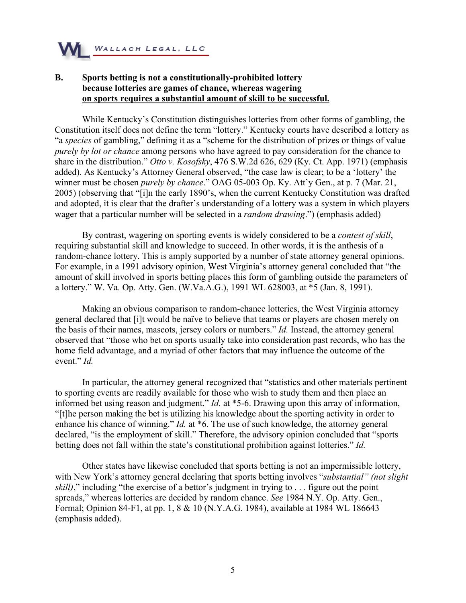

# **B. Sports betting is not a constitutionally-prohibited lottery because lotteries are games of chance, whereas wagering on sports requires a substantial amount of skill to be successful.**

While Kentucky's Constitution distinguishes lotteries from other forms of gambling, the Constitution itself does not define the term "lottery." Kentucky courts have described a lottery as "a *species* of gambling," defining it as a "scheme for the distribution of prizes or things of value *purely by lot or chance* among persons who have agreed to pay consideration for the chance to share in the distribution." *Otto v. Kosofsky*, 476 S.W.2d 626, 629 (Ky. Ct. App. 1971) (emphasis added). As Kentucky's Attorney General observed, "the case law is clear; to be a 'lottery' the winner must be chosen *purely by chance*." OAG 05-003 Op. Ky. Att'y Gen., at p. 7 (Mar. 21, 2005) (observing that "[i]n the early 1890's, when the current Kentucky Constitution was drafted and adopted, it is clear that the drafter's understanding of a lottery was a system in which players wager that a particular number will be selected in a *random drawing*.") (emphasis added)

By contrast, wagering on sporting events is widely considered to be a *contest of skill*, requiring substantial skill and knowledge to succeed. In other words, it is the anthesis of a random-chance lottery. This is amply supported by a number of state attorney general opinions. For example, in a 1991 advisory opinion, West Virginia's attorney general concluded that "the amount of skill involved in sports betting places this form of gambling outside the parameters of a lottery." W. Va. Op. Atty. Gen. (W.Va.A.G.), 1991 WL 628003, at \*5 (Jan. 8, 1991).

Making an obvious comparison to random-chance lotteries, the West Virginia attorney general declared that [i]t would be naïve to believe that teams or players are chosen merely on the basis of their names, mascots, jersey colors or numbers." *Id.* Instead, the attorney general observed that "those who bet on sports usually take into consideration past records, who has the home field advantage, and a myriad of other factors that may influence the outcome of the event." *Id.*

In particular, the attorney general recognized that "statistics and other materials pertinent to sporting events are readily available for those who wish to study them and then place an informed bet using reason and judgment." *Id.* at \*5-6. Drawing upon this array of information, "[t]he person making the bet is utilizing his knowledge about the sporting activity in order to enhance his chance of winning." *Id.* at \*6. The use of such knowledge, the attorney general declared, "is the employment of skill." Therefore, the advisory opinion concluded that "sports betting does not fall within the state's constitutional prohibition against lotteries." *Id.*

Other states have likewise concluded that sports betting is not an impermissible lottery, with New York's attorney general declaring that sports betting involves "*substantial" (not slight skill*)," including "the exercise of a bettor's judgment in trying to . . . figure out the point spreads," whereas lotteries are decided by random chance. *See* 1984 N.Y. Op. Atty. Gen., Formal; Opinion 84-F1, at pp. 1, 8 & 10 (N.Y.A.G. 1984), available at 1984 WL 186643 (emphasis added).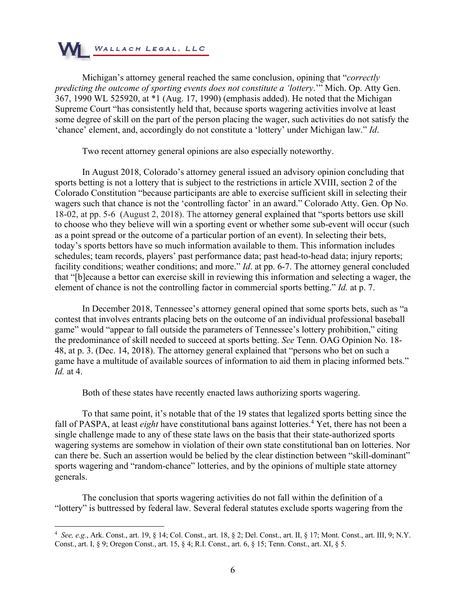

Michigan's attorney general reached the same conclusion, opining that "*correctly predicting the outcome of sporting events does not constitute a 'lottery*.'" Mich. Op. Atty Gen. 367, 1990 WL 525920, at \*1 (Aug. 17, 1990) (emphasis added). He noted that the Michigan Supreme Court "has consistently held that, because sports wagering activities involve at least some degree of skill on the part of the person placing the wager, such activities do not satisfy the 'chance' element, and, accordingly do not constitute a 'lottery' under Michigan law." *Id*.

Two recent attorney general opinions are also especially noteworthy.

In August 2018, Colorado's attorney general issued an advisory opinion concluding that sports betting is not a lottery that is subject to the restrictions in article XVIII, section 2 of the Colorado Constitution "because participants are able to exercise sufficient skill in selecting their wagers such that chance is not the 'controlling factor' in an award." Colorado Atty. Gen. Op No. 18-02, at pp. 5-6 (August 2, 2018). The attorney general explained that "sports bettors use skill to choose who they believe will win a sporting event or whether some sub-event will occur (such as a point spread or the outcome of a particular portion of an event). In selecting their bets, today's sports bettors have so much information available to them. This information includes schedules; team records, players' past performance data; past head-to-head data; injury reports; facility conditions; weather conditions; and more." *Id*. at pp. 6-7. The attorney general concluded that "[b]ecause a bettor can exercise skill in reviewing this information and selecting a wager, the element of chance is not the controlling factor in commercial sports betting." *Id.* at p. 7.

In December 2018, Tennessee's attorney general opined that some sports bets, such as "a contest that involves entrants placing bets on the outcome of an individual professional baseball game" would "appear to fall outside the parameters of Tennessee's lottery prohibition," citing the predominance of skill needed to succeed at sports betting. *See* Tenn. OAG Opinion No. 18- 48, at p. 3. (Dec. 14, 2018). The attorney general explained that "persons who bet on such a game have a multitude of available sources of information to aid them in placing informed bets." *Id.* at 4.

Both of these states have recently enacted laws authorizing sports wagering.

To that same point, it's notable that of the 19 states that legalized sports betting since the fall of PASPA, at least *eight* have constitutional bans against lotteries.<sup>4</sup> Yet, there has not been a single challenge made to any of these state laws on the basis that their state-authorized sports wagering systems are somehow in violation of their own state constitutional ban on lotteries. Nor can there be. Such an assertion would be belied by the clear distinction between "skill-dominant" sports wagering and "random-chance" lotteries, and by the opinions of multiple state attorney generals.

The conclusion that sports wagering activities do not fall within the definition of a "lottery" is buttressed by federal law. Several federal statutes exclude sports wagering from the

<sup>4</sup> *See, e.g.*, Ark. Const., art. 19, § 14; Col. Const., art. 18, § 2; Del. Const., art. II, § 17; Mont. Const., art. III, 9; N.Y. Const., art. I, § 9; Oregon Const., art. 15, § 4; R.I. Const., art. 6, § 15; Tenn. Const., art. XI, § 5.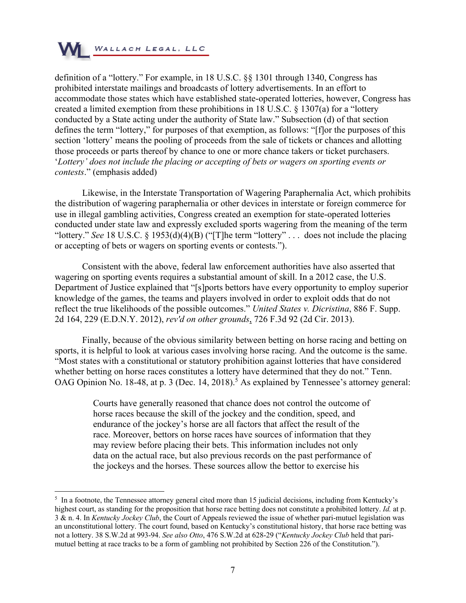

definition of a "lottery." For example, in 18 U.S.C. §§ 1301 through 1340, Congress has prohibited interstate mailings and broadcasts of lottery advertisements. In an effort to accommodate those states which have established state-operated lotteries, however, Congress has created a limited exemption from these prohibitions in 18 U.S.C. § 1307(a) for a "lottery conducted by a State acting under the authority of State law." Subsection (d) of that section defines the term "lottery," for purposes of that exemption, as follows: "[f]or the purposes of this section 'lottery' means the pooling of proceeds from the sale of tickets or chances and allotting those proceeds or parts thereof by chance to one or more chance takers or ticket purchasers. '*Lottery' does not include the placing or accepting of bets or wagers on sporting events or contests*." (emphasis added)

Likewise, in the Interstate Transportation of Wagering Paraphernalia Act, which prohibits the distribution of wagering paraphernalia or other devices in interstate or foreign commerce for use in illegal gambling activities, Congress created an exemption for state-operated lotteries conducted under state law and expressly excluded sports wagering from the meaning of the term "lottery." *See* 18 U.S.C. § 1953(d)(4)(B) ("[T]he term "lottery" . . . does not include the placing or accepting of bets or wagers on sporting events or contests.").

Consistent with the above, federal law enforcement authorities have also asserted that wagering on sporting events requires a substantial amount of skill. In a 2012 case, the U.S. Department of Justice explained that "[s]ports bettors have every opportunity to employ superior knowledge of the games, the teams and players involved in order to exploit odds that do not reflect the true likelihoods of the possible outcomes." *United States v. Dicristina*, 886 F. Supp. 2d 164, 229 (E.D.N.Y. 2012), *rev'd on other grounds*, 726 F.3d 92 (2d Cir. 2013).

Finally, because of the obvious similarity between betting on horse racing and betting on sports, it is helpful to look at various cases involving horse racing. And the outcome is the same. "Most states with a constitutional or statutory prohibition against lotteries that have considered whether betting on horse races constitutes a lottery have determined that they do not." Tenn. OAG Opinion No. 18-48, at p. 3 (Dec. 14, 2018).<sup>5</sup> As explained by Tennessee's attorney general:

> Courts have generally reasoned that chance does not control the outcome of horse races because the skill of the jockey and the condition, speed, and endurance of the jockey's horse are all factors that affect the result of the race. Moreover, bettors on horse races have sources of information that they may review before placing their bets. This information includes not only data on the actual race, but also previous records on the past performance of the jockeys and the horses. These sources allow the bettor to exercise his

 $<sup>5</sup>$  In a footnote, the Tennessee attorney general cited more than 15 judicial decisions, including from Kentucky's</sup> highest court, as standing for the proposition that horse race betting does not constitute a prohibited lottery. *Id.* at p. 3 & n. 4. In *Kentucky Jockey Club*, the Court of Appeals reviewed the issue of whether pari-mutuel legislation was an unconstitutional lottery. The court found, based on Kentucky's constitutional history, that horse race betting was not a lottery. 38 S.W.2d at 993-94. *See also Otto*, 476 S.W.2d at 628-29 ("*Kentucky Jockey Club* held that parimutuel betting at race tracks to be a form of gambling not prohibited by Section 226 of the Constitution.").